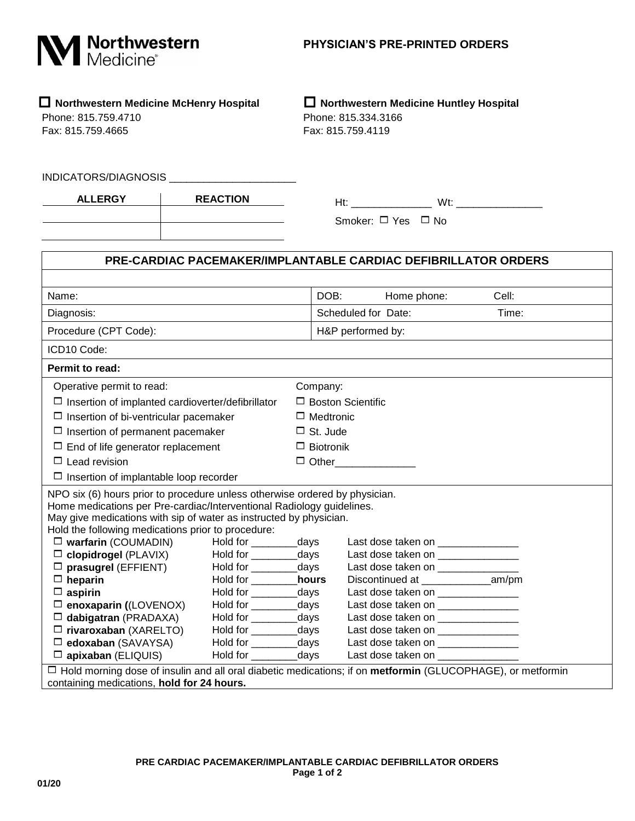

## **Northwestern Medicine McHenry Hospital Northwestern Medicine Huntley Hospital**

Fax: 815.759.4665 Fax: 815.759.4119

## Phone: 815.759.4710 Phone: 815.334.3166

INDICATORS/DIAGNOSIS \_\_\_\_\_\_\_\_\_\_\_\_\_\_\_\_\_\_\_\_\_\_

| <b>ALLERGY</b> | <b>REACTION</b> |
|----------------|-----------------|
|                |                 |

| Smoker: $\Box$ Yes $\Box$ No |  |  |
|------------------------------|--|--|
|------------------------------|--|--|

| PRE-CARDIAC PACEMAKER/IMPLANTABLE CARDIAC DEFIBRILLATOR ORDERS                                                                                                                                                                                                                   |                             |                 |                              |                                                                                                                                                                                                                                |       |  |  |
|----------------------------------------------------------------------------------------------------------------------------------------------------------------------------------------------------------------------------------------------------------------------------------|-----------------------------|-----------------|------------------------------|--------------------------------------------------------------------------------------------------------------------------------------------------------------------------------------------------------------------------------|-------|--|--|
|                                                                                                                                                                                                                                                                                  |                             |                 |                              |                                                                                                                                                                                                                                |       |  |  |
| Name:                                                                                                                                                                                                                                                                            |                             |                 | DOB:                         | Home phone:                                                                                                                                                                                                                    | Cell: |  |  |
| Diagnosis:                                                                                                                                                                                                                                                                       |                             |                 | Scheduled for Date:<br>Time: |                                                                                                                                                                                                                                |       |  |  |
| Procedure (CPT Code):                                                                                                                                                                                                                                                            |                             |                 |                              | H&P performed by:                                                                                                                                                                                                              |       |  |  |
| ICD10 Code:                                                                                                                                                                                                                                                                      |                             |                 |                              |                                                                                                                                                                                                                                |       |  |  |
| Permit to read:                                                                                                                                                                                                                                                                  |                             |                 |                              |                                                                                                                                                                                                                                |       |  |  |
| Operative permit to read:                                                                                                                                                                                                                                                        |                             | Company:        |                              |                                                                                                                                                                                                                                |       |  |  |
| $\Box$ Insertion of implanted cardioverter/defibrillator                                                                                                                                                                                                                         |                             |                 | $\Box$ Boston Scientific     |                                                                                                                                                                                                                                |       |  |  |
| $\Box$ Insertion of bi-ventricular pacemaker                                                                                                                                                                                                                                     |                             |                 | $\Box$ Medtronic             |                                                                                                                                                                                                                                |       |  |  |
| $\Box$ Insertion of permanent pacemaker                                                                                                                                                                                                                                          |                             | $\Box$ St. Jude |                              |                                                                                                                                                                                                                                |       |  |  |
| $\Box$ End of life generator replacement                                                                                                                                                                                                                                         |                             |                 | $\Box$ Biotronik             |                                                                                                                                                                                                                                |       |  |  |
| $\Box$ Lead revision                                                                                                                                                                                                                                                             |                             |                 | □ Other________________      |                                                                                                                                                                                                                                |       |  |  |
| $\Box$ Insertion of implantable loop recorder                                                                                                                                                                                                                                    |                             |                 |                              |                                                                                                                                                                                                                                |       |  |  |
| NPO six (6) hours prior to procedure unless otherwise ordered by physician.<br>Home medications per Pre-cardiac/Interventional Radiology guidelines.<br>May give medications with sip of water as instructed by physician.<br>Hold the following medications prior to procedure: |                             |                 |                              |                                                                                                                                                                                                                                |       |  |  |
| $\square$ warfarin (COUMADIN)                                                                                                                                                                                                                                                    | Hold for ____________days   |                 |                              | Last dose taken on _______________                                                                                                                                                                                             |       |  |  |
| $\Box$ clopidrogel (PLAVIX)                                                                                                                                                                                                                                                      | Hold for ____________days   |                 |                              | Last dose taken on _______________                                                                                                                                                                                             |       |  |  |
| $\square$ prasugrel (EFFIENT)                                                                                                                                                                                                                                                    | Hold for __________days     |                 |                              | Last dose taken on _______________                                                                                                                                                                                             |       |  |  |
| $\Box$ heparin                                                                                                                                                                                                                                                                   | Hold for _____________hours |                 |                              | Discontinued at _________________am/pm                                                                                                                                                                                         |       |  |  |
| $\Box$ aspirin                                                                                                                                                                                                                                                                   | Hold for ___________days    |                 |                              | Last dose taken on _______________                                                                                                                                                                                             |       |  |  |
| $\Box$ enoxaparin ((LOVENOX)                                                                                                                                                                                                                                                     | Hold for ____________days   |                 |                              | Last dose taken on _______________                                                                                                                                                                                             |       |  |  |
| $\Box$ dabigatran (PRADAXA)                                                                                                                                                                                                                                                      | Hold for ___________days    |                 |                              | Last dose taken on _______________                                                                                                                                                                                             |       |  |  |
| $\Box$ rivaroxaban (XARELTO)                                                                                                                                                                                                                                                     | Hold for __________days     |                 |                              | Last dose taken on _______________                                                                                                                                                                                             |       |  |  |
| $\Box$ edoxaban (SAVAYSA)                                                                                                                                                                                                                                                        | Hold for ____________days   |                 |                              | Last dose taken on the state of the state of the state of the state of the state of the state of the state of the state of the state of the state of the state of the state of the state of the state of the state of the stat |       |  |  |
| $\square$ apixaban (ELIQUIS)                                                                                                                                                                                                                                                     | Hold for ___________days    |                 |                              | Last dose taken on ______________                                                                                                                                                                                              |       |  |  |
| $\Box$ Hold morning dose of insulin and all oral diabetic medications; if on <b>metformin</b> (GLUCOPHAGE), or metformin<br>containing medications, hold for 24 hours.                                                                                                           |                             |                 |                              |                                                                                                                                                                                                                                |       |  |  |